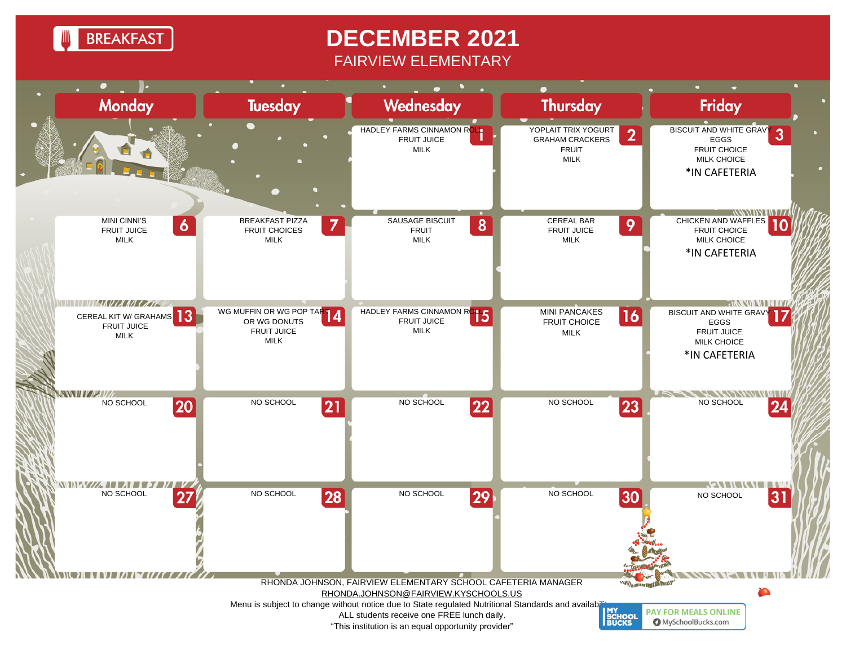**BREAKFAST** 

## **DECEMBER 2021** FAIRVIEW ELEMENTARY